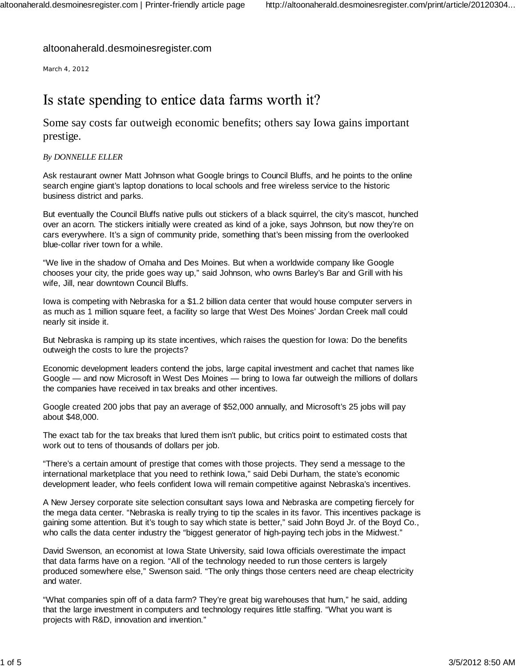### altoonaherald.desmoinesregister.com

March 4, 2012

### Is state spending to entice data farms worth it?

Some say costs far outweigh economic benefits; others say Iowa gains important prestige.

#### *By DONNELLE ELLER*

Ask restaurant owner Matt Johnson what Google brings to Council Bluffs, and he points to the online search engine giant's laptop donations to local schools and free wireless service to the historic business district and parks.

But eventually the Council Bluffs native pulls out stickers of a black squirrel, the city's mascot, hunched over an acorn. The stickers initially were created as kind of a joke, says Johnson, but now they're on cars everywhere. It's a sign of community pride, something that's been missing from the overlooked blue-collar river town for a while.

"We live in the shadow of Omaha and Des Moines. But when a worldwide company like Google chooses your city, the pride goes way up," said Johnson, who owns Barley's Bar and Grill with his wife, Jill, near downtown Council Bluffs.

Iowa is competing with Nebraska for a \$1.2 billion data center that would house computer servers in as much as 1 million square feet, a facility so large that West Des Moines' Jordan Creek mall could nearly sit inside it.

But Nebraska is ramping up its state incentives, which raises the question for Iowa: Do the benefits outweigh the costs to lure the projects?

Economic development leaders contend the jobs, large capital investment and cachet that names like Google — and now Microsoft in West Des Moines — bring to Iowa far outweigh the millions of dollars the companies have received in tax breaks and other incentives.

Google created 200 jobs that pay an average of \$52,000 annually, and Microsoft's 25 jobs will pay about \$48,000.

The exact tab for the tax breaks that lured them isn't public, but critics point to estimated costs that work out to tens of thousands of dollars per job.

"There's a certain amount of prestige that comes with those projects. They send a message to the international marketplace that you need to rethink Iowa," said Debi Durham, the state's economic development leader, who feels confident Iowa will remain competitive against Nebraska's incentives.

A New Jersey corporate site selection consultant says Iowa and Nebraska are competing fiercely for the mega data center. "Nebraska is really trying to tip the scales in its favor. This incentives package is gaining some attention. But it's tough to say which state is better," said John Boyd Jr. of the Boyd Co., who calls the data center industry the "biggest generator of high-paying tech jobs in the Midwest."

David Swenson, an economist at Iowa State University, said Iowa officials overestimate the impact that data farms have on a region. "All of the technology needed to run those centers is largely produced somewhere else," Swenson said. "The only things those centers need are cheap electricity and water.

"What companies spin off of a data farm? They're great big warehouses that hum," he said, adding that the large investment in computers and technology requires little staffing. "What you want is projects with R&D, innovation and invention."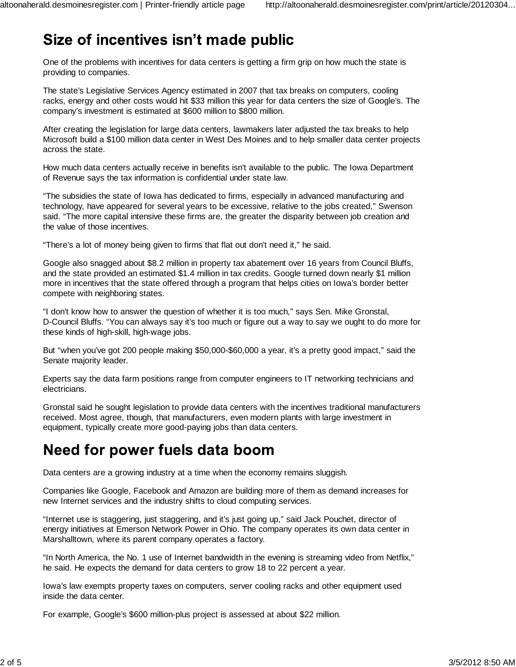# Size of incentives isn't made public

One of the problems with incentives for data centers is getting a firm grip on how much the state is providing to companies.

The state's Legislative Services Agency estimated in 2007 that tax breaks on computers, cooling racks, energy and other costs would hit \$33 million this year for data centers the size of Google's. The company's investment is estimated at \$600 million to \$800 million.

After creating the legislation for large data centers, lawmakers later adjusted the tax breaks to help Microsoft build a \$100 million data center in West Des Moines and to help smaller data center projects across the state.

How much data centers actually receive in benefits isn't available to the public. The Iowa Department of Revenue says the tax information is confidential under state law.

"The subsidies the state of Iowa has dedicated to firms, especially in advanced manufacturing and technology, have appeared for several years to be excessive, relative to the jobs created," Swenson said. "The more capital intensive these firms are, the greater the disparity between job creation and the value of those incentives.

"There's a lot of money being given to firms that flat out don't need it," he said.

Google also snagged about \$8.2 million in property tax abatement over 16 years from Council Bluffs, and the state provided an estimated \$1.4 million in tax credits. Google turned down nearly \$1 million more in incentives that the state offered through a program that helps cities on Iowa's border better compete with neighboring states.

"I don't know how to answer the question of whether it is too much," says Sen. Mike Gronstal, D-Council Bluffs. "You can always say it's too much or figure out a way to say we ought to do more for these kinds of high-skill, high-wage jobs.

But "when you've got 200 people making \$50,000-\$60,000 a year, it's a pretty good impact," said the Senate majority leader.

Experts say the data farm positions range from computer engineers to IT networking technicians and electricians.

Gronstal said he sought legislation to provide data centers with the incentives traditional manufacturers received. Most agree, though, that manufacturers, even modern plants with large investment in equipment, typically create more good-paying jobs than data centers.

# Need for power fuels data boom

Data centers are a growing industry at a time when the economy remains sluggish.

Companies like Google, Facebook and Amazon are building more of them as demand increases for new Internet services and the industry shifts to cloud computing services.

"Internet use is staggering, just staggering, and it's just going up," said Jack Pouchet, director of energy initiatives at Emerson Network Power in Ohio. The company operates its own data center in Marshalltown, where its parent company operates a factory.

"In North America, the No. 1 use of Internet bandwidth in the evening is streaming video from Netflix," he said. He expects the demand for data centers to grow 18 to 22 percent a year.

Iowa's law exempts property taxes on computers, server cooling racks and other equipment used inside the data center.

For example, Google's \$600 million-plus project is assessed at about \$22 million.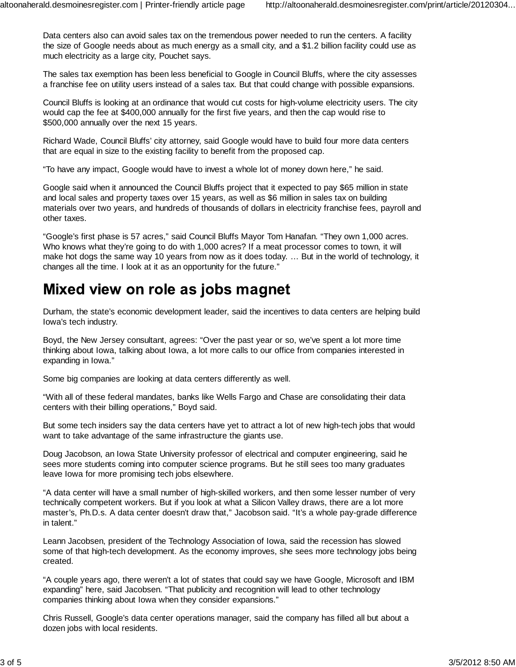Data centers also can avoid sales tax on the tremendous power needed to run the centers. A facility the size of Google needs about as much energy as a small city, and a \$1.2 billion facility could use as much electricity as a large city, Pouchet says.

The sales tax exemption has been less beneficial to Google in Council Bluffs, where the city assesses a franchise fee on utility users instead of a sales tax. But that could change with possible expansions.

Council Bluffs is looking at an ordinance that would cut costs for high-volume electricity users. The city would cap the fee at \$400,000 annually for the first five years, and then the cap would rise to \$500,000 annually over the next 15 years.

Richard Wade, Council Bluffs' city attorney, said Google would have to build four more data centers that are equal in size to the existing facility to benefit from the proposed cap.

"To have any impact, Google would have to invest a whole lot of money down here," he said.

Google said when it announced the Council Bluffs project that it expected to pay \$65 million in state and local sales and property taxes over 15 years, as well as \$6 million in sales tax on building materials over two years, and hundreds of thousands of dollars in electricity franchise fees, payroll and other taxes.

"Google's first phase is 57 acres," said Council Bluffs Mayor Tom Hanafan. "They own 1,000 acres. Who knows what they're going to do with 1,000 acres? If a meat processor comes to town, it will make hot dogs the same way 10 years from now as it does today. … But in the world of technology, it changes all the time. I look at it as an opportunity for the future."

## Mixed view on role as jobs magnet

Durham, the state's economic development leader, said the incentives to data centers are helping build Iowa's tech industry.

Boyd, the New Jersey consultant, agrees: "Over the past year or so, we've spent a lot more time thinking about Iowa, talking about Iowa, a lot more calls to our office from companies interested in expanding in Iowa."

Some big companies are looking at data centers differently as well.

"With all of these federal mandates, banks like Wells Fargo and Chase are consolidating their data centers with their billing operations," Boyd said.

But some tech insiders say the data centers have yet to attract a lot of new high-tech jobs that would want to take advantage of the same infrastructure the giants use.

Doug Jacobson, an Iowa State University professor of electrical and computer engineering, said he sees more students coming into computer science programs. But he still sees too many graduates leave Iowa for more promising tech jobs elsewhere.

"A data center will have a small number of high-skilled workers, and then some lesser number of very technically competent workers. But if you look at what a Silicon Valley draws, there are a lot more master's, Ph.D.s. A data center doesn't draw that," Jacobson said. "It's a whole pay-grade difference in talent."

Leann Jacobsen, president of the Technology Association of Iowa, said the recession has slowed some of that high-tech development. As the economy improves, she sees more technology jobs being created.

"A couple years ago, there weren't a lot of states that could say we have Google, Microsoft and IBM expanding" here, said Jacobsen. "That publicity and recognition will lead to other technology companies thinking about Iowa when they consider expansions."

Chris Russell, Google's data center operations manager, said the company has filled all but about a dozen jobs with local residents.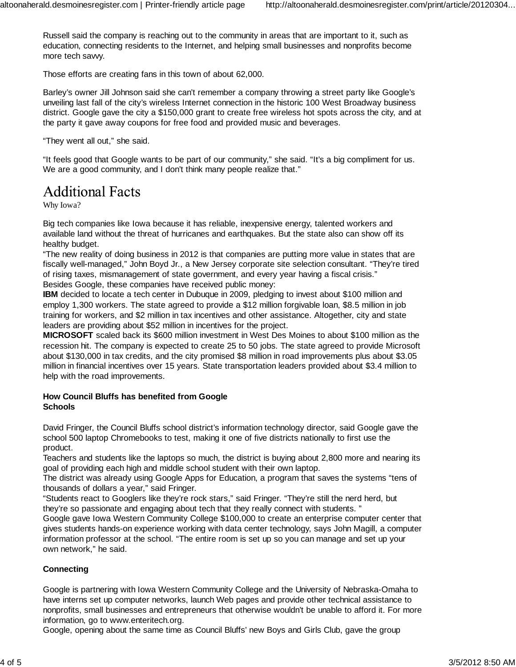Russell said the company is reaching out to the community in areas that are important to it, such as education, connecting residents to the Internet, and helping small businesses and nonprofits become more tech savvy.

Those efforts are creating fans in this town of about 62,000.

Barley's owner Jill Johnson said she can't remember a company throwing a street party like Google's unveiling last fall of the city's wireless Internet connection in the historic 100 West Broadway business district. Google gave the city a \$150,000 grant to create free wireless hot spots across the city, and at the party it gave away coupons for free food and provided music and beverages.

"They went all out," she said.

"It feels good that Google wants to be part of our community," she said. "It's a big compliment for us. We are a good community, and I don't think many people realize that."

### **Additional Facts**

Why Iowa?

Big tech companies like Iowa because it has reliable, inexpensive energy, talented workers and available land without the threat of hurricanes and earthquakes. But the state also can show off its healthy budget.

"The new reality of doing business in 2012 is that companies are putting more value in states that are fiscally well-managed," John Boyd Jr., a New Jersey corporate site selection consultant. "They're tired of rising taxes, mismanagement of state government, and every year having a fiscal crisis." Besides Google, these companies have received public money:

**IBM** decided to locate a tech center in Dubuque in 2009, pledging to invest about \$100 million and employ 1,300 workers. The state agreed to provide a \$12 million forgivable loan, \$8.5 million in job training for workers, and \$2 million in tax incentives and other assistance. Altogether, city and state leaders are providing about \$52 million in incentives for the project.

**MICROSOFT** scaled back its \$600 million investment in West Des Moines to about \$100 million as the recession hit. The company is expected to create 25 to 50 jobs. The state agreed to provide Microsoft about \$130,000 in tax credits, and the city promised \$8 million in road improvements plus about \$3.05 million in financial incentives over 15 years. State transportation leaders provided about \$3.4 million to help with the road improvements.

### **How Council Bluffs has benefited from Google Schools**

David Fringer, the Council Bluffs school district's information technology director, said Google gave the school 500 laptop Chromebooks to test, making it one of five districts nationally to first use the product.

Teachers and students like the laptops so much, the district is buying about 2,800 more and nearing its goal of providing each high and middle school student with their own laptop.

The district was already using Google Apps for Education, a program that saves the systems "tens of thousands of dollars a year," said Fringer.

"Students react to Googlers like they're rock stars," said Fringer. "They're still the nerd herd, but they're so passionate and engaging about tech that they really connect with students. "

Google gave Iowa Western Community College \$100,000 to create an enterprise computer center that gives students hands-on experience working with data center technology, says John Magill, a computer information professor at the school. "The entire room is set up so you can manage and set up your own network," he said.

### **Connecting**

Google is partnering with Iowa Western Community College and the University of Nebraska-Omaha to have interns set up computer networks, launch Web pages and provide other technical assistance to nonprofits, small businesses and entrepreneurs that otherwise wouldn't be unable to afford it. For more information, go to www.enteritech.org.

Google, opening about the same time as Council Bluffs' new Boys and Girls Club, gave the group